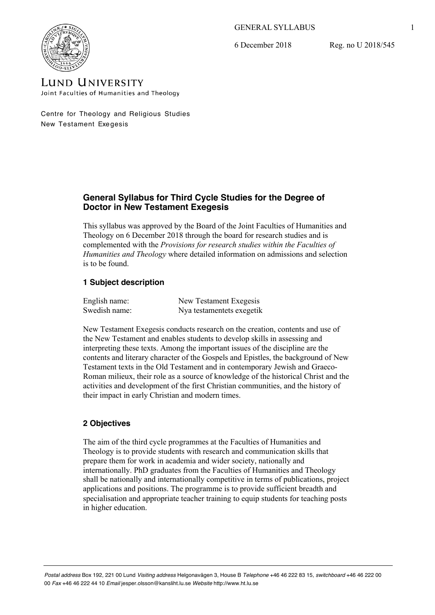## GENERAL SYLLABUS

6 December 2018

Reg. no U 2018/545



LUND UNIVERSITY Joint Faculties of Humanities and Theology

Centre for Theology and Religious Studies New Testament Exe gesis

# **General Syllabus for Third Cycle Studies for the Degree of Doctor in New Testament Exegesis**

This syllabus was approved by the Board of the Joint Faculties of Humanities and Theology on 6 December 2018 through the board for research studies and is complemented with the *Provisions for research studies within the Faculties of Humanities and Theology* where detailed information on admissions and selection is to be found.

# **1 Subject description**

| English name: | New Testament Exegesis    |
|---------------|---------------------------|
| Swedish name: | Nya testamentets exegetik |

New Testament Exegesis conducts research on the creation, contents and use of the New Testament and enables students to develop skills in assessing and interpreting these texts. Among the important issues of the discipline are the contents and literary character of the Gospels and Epistles, the background of New Testament texts in the Old Testament and in contemporary Jewish and Graeco-Roman milieux, their role as a source of knowledge of the historical Christ and the activities and development of the first Christian communities, and the history of their impact in early Christian and modern times.

# **2 Objectives**

The aim of the third cycle programmes at the Faculties of Humanities and Theology is to provide students with research and communication skills that prepare them for work in academia and wider society, nationally and internationally. PhD graduates from the Faculties of Humanities and Theology shall be nationally and internationally competitive in terms of publications, project applications and positions. The programme is to provide sufficient breadth and specialisation and appropriate teacher training to equip students for teaching posts in higher education.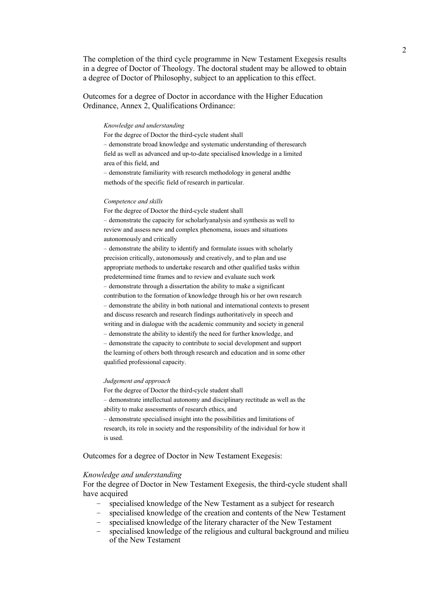The completion of the third cycle programme in New Testament Exegesis results in a degree of Doctor of Theology. The doctoral student may be allowed to obtain a degree of Doctor of Philosophy, subject to an application to this effect.

Outcomes for a degree of Doctor in accordance with the Higher Education Ordinance, Annex 2, Qualifications Ordinance:

#### *Knowledge and understanding*

For the degree of Doctor the third-cycle student shall – demonstrate broad knowledge and systematic understanding of theresearch field as well as advanced and up-to-date specialised knowledge in a limited area of this field, and

– demonstrate familiarity with research methodology in general andthe methods of the specific field of research in particular.

#### *Competence and skills*

For the degree of Doctor the third-cycle student shall – demonstrate the capacity for scholarlyanalysis and synthesis as well to review and assess new and complex phenomena, issues and situations autonomously and critically

– demonstrate the ability to identify and formulate issues with scholarly precision critically, autonomously and creatively, and to plan and use appropriate methods to undertake research and other qualified tasks within predetermined time frames and to review and evaluate such work – demonstrate through a dissertation the ability to make a significant contribution to the formation of knowledge through his or her own research – demonstrate the ability in both national and international contexts to present and discuss research and research findings authoritatively in speech and writing and in dialogue with the academic community and society in general – demonstrate the ability to identify the need for further knowledge, and – demonstrate the capacity to contribute to social development and support the learning of others both through research and education and in some other

#### *Judgement and approach*

qualified professional capacity.

For the degree of Doctor the third-cycle student shall – demonstrate intellectual autonomy and disciplinary rectitude as well as the ability to make assessments of research ethics, and – demonstrate specialised insight into the possibilities and limitations of research, its role in society and the responsibility of the individual for how it is used.

Outcomes for a degree of Doctor in New Testament Exegesis:

#### *Knowledge and understanding*

For the degree of Doctor in New Testament Exegesis, the third-cycle student shall have acquired

- specialised knowledge of the New Testament as a subject for research
- specialised knowledge of the creation and contents of the New Testament
- specialised knowledge of the literary character of the New Testament
- specialised knowledge of the religious and cultural background and milieu of the New Testament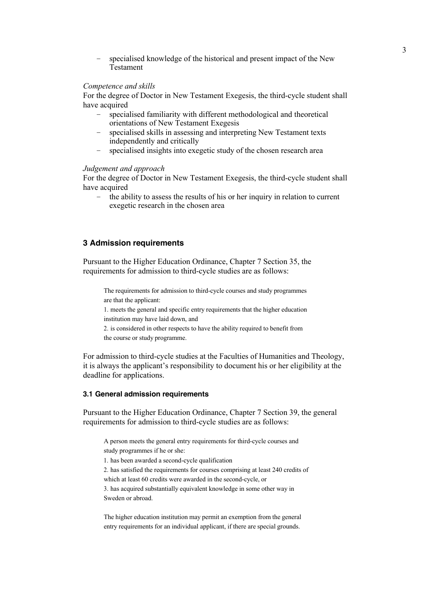– specialised knowledge of the historical and present impact of the New Testament

## *Competence and skills*

For the degree of Doctor in New Testament Exegesis, the third-cycle student shall have acquired

- specialised familiarity with different methodological and theoretical orientations of New Testament Exegesis
- specialised skills in assessing and interpreting New Testament texts independently and critically
- specialised insights into exegetic study of the chosen research area

## *Judgement and approach*

For the degree of Doctor in New Testament Exegesis, the third-cycle student shall have acquired

– the ability to assess the results of his or her inquiry in relation to current exegetic research in the chosen area

# **3 Admission requirements**

Pursuant to the Higher Education Ordinance, Chapter 7 Section 35, the requirements for admission to third-cycle studies are as follows:

The requirements for admission to third-cycle courses and study programmes are that the applicant:

1. meets the general and specific entry requirements that the higher education institution may have laid down, and

2. is considered in other respects to have the ability required to benefit from the course or study programme.

For admission to third-cycle studies at the Faculties of Humanities and Theology, it is always the applicant's responsibility to document his or her eligibility at the deadline for applications.

#### **3.1 General admission requirements**

Pursuant to the Higher Education Ordinance, Chapter 7 Section 39, the general requirements for admission to third-cycle studies are as follows:

A person meets the general entry requirements for third-cycle courses and study programmes if he or she:

1. has been awarded a second-cycle qualification

2. has satisfied the requirements for courses comprising at least 240 credits of which at least 60 credits were awarded in the second-cycle, or

3. has acquired substantially equivalent knowledge in some other way in Sweden or abroad.

The higher education institution may permit an exemption from the general entry requirements for an individual applicant, if there are special grounds.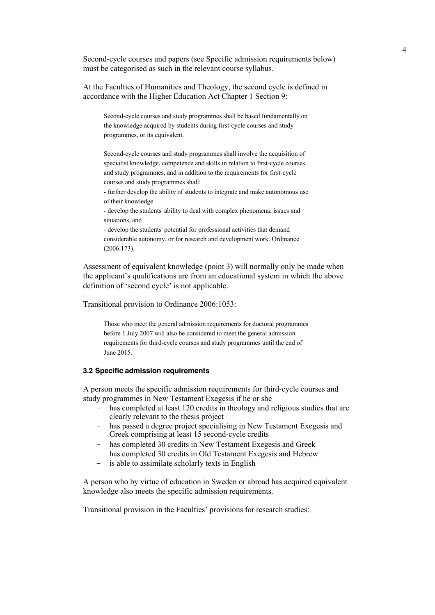Second-cycle courses and papers (see Specific admission requirements below) must be categorised as such in the relevant course syllabus.

At the Faculties of Humanities and Theology, the second cycle is defined in accordance with the Higher Education Act Chapter 1 Section 9:

Second-cycle courses and study programmes shall be based fundamentally on the knowledge acquired by students during first-cycle courses and study programmes, or its equivalent.

Second-cycle courses and study programmes shall involve the acquisition of specialist knowledge, competence and skills in relation to first-cycle courses and study programmes, and in addition to the requirements for first-cycle courses and study programmes shall:

- further develop the ability of students to integrate and make autonomous use of their knowledge

- develop the students' ability to deal with complex phenomena, issues and situations, and

- develop the students' potential for professional activities that demand considerable autonomy, or for research and development work. Ordinance (2006:173).

Assessment of equivalent knowledge (point 3) will normally only be made when the applicant's qualifications are from an educational system in which the above definition of 'second cycle' is not applicable.

Transitional provision to Ordinance 2006:1053:

Those who meet the general admission requirements for doctoral programmes before 1 July 2007 will also be considered to meet the general admission requirements for third-cycle courses and study programmes until the end of June 2015.

#### **3.2 Specific admission requirements**

A person meets the specific admission requirements for third-cycle courses and study programmes in New Testament Exegesis if he or she

- has completed at least 120 credits in theology and religious studies that are clearly relevant to the thesis project
- has passed a degree project specialising in New Testament Exegesis and Greek comprising at least 15 second-cycle credits
- has completed 30 credits in New Testament Exegesis and Greek
- has completed 30 credits in Old Testament Exegesis and Hebrew
- is able to assimilate scholarly texts in English

A person who by virtue of education in Sweden or abroad has acquired equivalent knowledge also meets the specific admission requirements.

Transitional provision in the Faculties' provisions for research studies: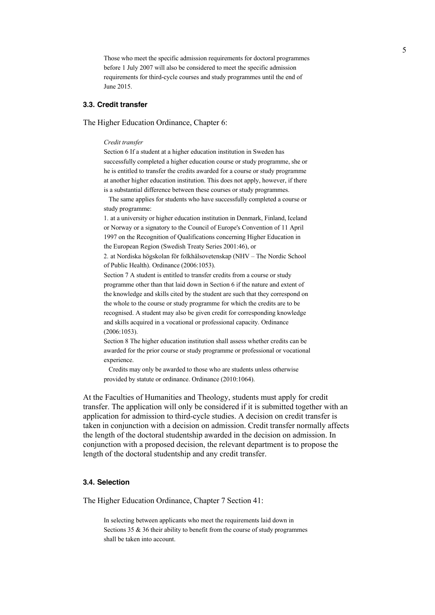Those who meet the specific admission requirements for doctoral programmes before 1 July 2007 will also be considered to meet the specific admission requirements for third-cycle courses and study programmes until the end of June 2015.

#### **3.3. Credit transfer**

The Higher Education Ordinance, Chapter 6:

#### *Credit transfer*

Section 6 If a student at a higher education institution in Sweden has successfully completed a higher education course or study programme, she or he is entitled to transfer the credits awarded for a course or study programme at another higher education institution. This does not apply, however, if there is a substantial difference between these courses or study programmes.

The same applies for students who have successfully completed a course or study programme:

1. at a university or higher education institution in Denmark, Finland, Iceland or Norway or a signatory to the Council of Europe's Convention of 11 April 1997 on the Recognition of Qualifications concerning Higher Education in the European Region (Swedish Treaty Series 2001:46), or

2. at Nordiska högskolan för folkhälsovetenskap (NHV – The Nordic School of Public Health). Ordinance (2006:1053).

Section 7 A student is entitled to transfer credits from a course or study programme other than that laid down in Section 6 if the nature and extent of the knowledge and skills cited by the student are such that they correspond on the whole to the course or study programme for which the credits are to be recognised. A student may also be given credit for corresponding knowledge and skills acquired in a vocational or professional capacity. Ordinance (2006:1053).

Section 8 The higher education institution shall assess whether credits can be awarded for the prior course or study programme or professional or vocational experience.

Credits may only be awarded to those who are students unless otherwise provided by statute or ordinance. Ordinance (2010:1064).

At the Faculties of Humanities and Theology, students must apply for credit transfer. The application will only be considered if it is submitted together with an application for admission to third-cycle studies. A decision on credit transfer is taken in conjunction with a decision on admission. Credit transfer normally affects the length of the doctoral studentship awarded in the decision on admission. In conjunction with a proposed decision, the relevant department is to propose the length of the doctoral studentship and any credit transfer.

#### **3.4. Selection**

The Higher Education Ordinance, Chapter 7 Section 41:

In selecting between applicants who meet the requirements laid down in Sections 35 & 36 their ability to benefit from the course of study programmes shall be taken into account.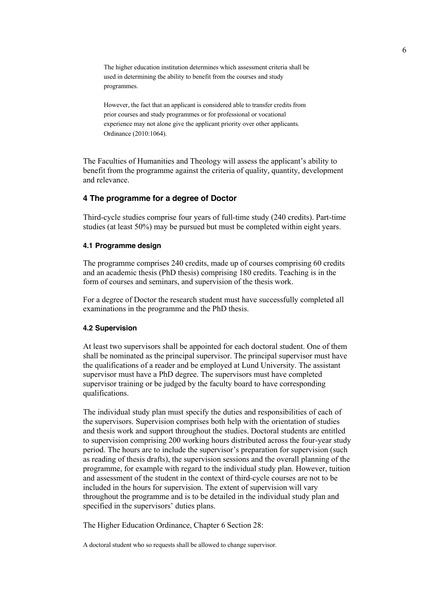The higher education institution determines which assessment criteria shall be used in determining the ability to benefit from the courses and study programmes.

However, the fact that an applicant is considered able to transfer credits from prior courses and study programmes or for professional or vocational experience may not alone give the applicant priority over other applicants. Ordinance (2010:1064).

The Faculties of Humanities and Theology will assess the applicant's ability to benefit from the programme against the criteria of quality, quantity, development and relevance.

# **4 The programme for a degree of Doctor**

Third-cycle studies comprise four years of full-time study (240 credits). Part-time studies (at least 50%) may be pursued but must be completed within eight years.

## **4.1 Programme design**

The programme comprises 240 credits, made up of courses comprising 60 credits and an academic thesis (PhD thesis) comprising 180 credits. Teaching is in the form of courses and seminars, and supervision of the thesis work.

For a degree of Doctor the research student must have successfully completed all examinations in the programme and the PhD thesis.

### **4.2 Supervision**

At least two supervisors shall be appointed for each doctoral student. One of them shall be nominated as the principal supervisor. The principal supervisor must have the qualifications of a reader and be employed at Lund University. The assistant supervisor must have a PhD degree. The supervisors must have completed supervisor training or be judged by the faculty board to have corresponding qualifications.

The individual study plan must specify the duties and responsibilities of each of the supervisors. Supervision comprises both help with the orientation of studies and thesis work and support throughout the studies. Doctoral students are entitled to supervision comprising 200 working hours distributed across the four-year study period. The hours are to include the supervisor's preparation for supervision (such as reading of thesis drafts), the supervision sessions and the overall planning of the programme, for example with regard to the individual study plan. However, tuition and assessment of the student in the context of third-cycle courses are not to be included in the hours for supervision. The extent of supervision will vary throughout the programme and is to be detailed in the individual study plan and specified in the supervisors' duties plans.

The Higher Education Ordinance, Chapter 6 Section 28:

A doctoral student who so requests shall be allowed to change supervisor.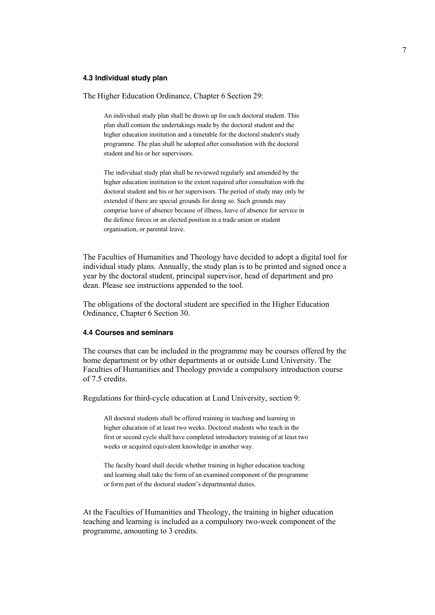#### **4.3 Individual study plan**

The Higher Education Ordinance, Chapter 6 Section 29:

An individual study plan shall be drawn up for each doctoral student. This plan shall contain the undertakings made by the doctoral student and the higher education institution and a timetable for the doctoral student's study programme. The plan shall be adopted after consultation with the doctoral student and his or her supervisors.

The individual study plan shall be reviewed regularly and amended by the higher education institution to the extent required after consultation with the doctoral student and his or her supervisors. The period of study may only be extended if there are special grounds for doing so. Such grounds may comprise leave of absence because of illness, leave of absence for service in the defence forces or an elected position in a trade union or student organisation, or parental leave.

The Faculties of Humanities and Theology have decided to adopt a digital tool for individual study plans. Annually, the study plan is to be printed and signed once a year by the doctoral student, principal supervisor, head of department and pro dean. Please see instructions appended to the tool.

The obligations of the doctoral student are specified in the Higher Education Ordinance, Chapter 6 Section 30.

### **4.4 Courses and seminars**

The courses that can be included in the programme may be courses offered by the home department or by other departments at or outside Lund University. The Faculties of Humanities and Theology provide a compulsory introduction course of 7.5 credits.

Regulations for third-cycle education at Lund University, section 9:

All doctoral students shall be offered training in teaching and learning in higher education of at least two weeks. Doctoral students who teach in the first or second cycle shall have completed introductory training of at least two weeks or acquired equivalent knowledge in another way.

The faculty board shall decide whether training in higher education teaching and learning shall take the form of an examined component of the programme or form part of the doctoral student's departmental duties.

At the Faculties of Humanities and Theology, the training in higher education teaching and learning is included as a compulsory two-week component of the programme, amounting to 3 credits.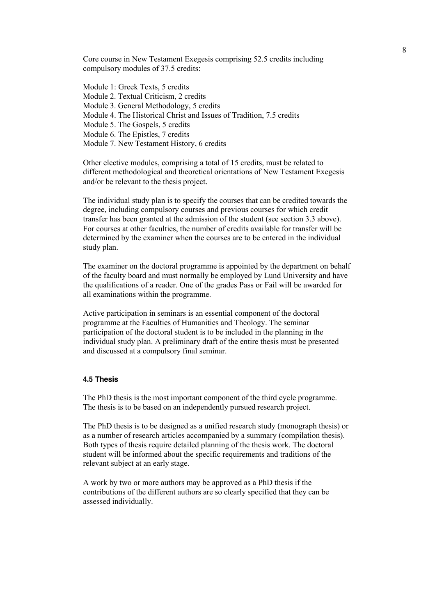Core course in New Testament Exegesis comprising 52.5 credits including compulsory modules of 37.5 credits:

Module 1: Greek Texts, 5 credits Module 2. Textual Criticism, 2 credits Module 3. General Methodology, 5 credits Module 4. The Historical Christ and Issues of Tradition, 7.5 credits Module 5. The Gospels, 5 credits Module 6. The Epistles, 7 credits Module 7. New Testament History, 6 credits

Other elective modules, comprising a total of 15 credits, must be related to different methodological and theoretical orientations of New Testament Exegesis and/or be relevant to the thesis project.

The individual study plan is to specify the courses that can be credited towards the degree, including compulsory courses and previous courses for which credit transfer has been granted at the admission of the student (see section 3.3 above). For courses at other faculties, the number of credits available for transfer will be determined by the examiner when the courses are to be entered in the individual study plan.

The examiner on the doctoral programme is appointed by the department on behalf of the faculty board and must normally be employed by Lund University and have the qualifications of a reader. One of the grades Pass or Fail will be awarded for all examinations within the programme.

Active participation in seminars is an essential component of the doctoral programme at the Faculties of Humanities and Theology. The seminar participation of the doctoral student is to be included in the planning in the individual study plan. A preliminary draft of the entire thesis must be presented and discussed at a compulsory final seminar.

# **4.5 Thesis**

The PhD thesis is the most important component of the third cycle programme. The thesis is to be based on an independently pursued research project.

The PhD thesis is to be designed as a unified research study (monograph thesis) or as a number of research articles accompanied by a summary (compilation thesis). Both types of thesis require detailed planning of the thesis work. The doctoral student will be informed about the specific requirements and traditions of the relevant subject at an early stage.

A work by two or more authors may be approved as a PhD thesis if the contributions of the different authors are so clearly specified that they can be assessed individually.